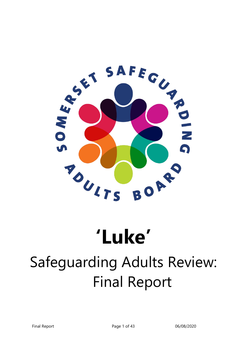

# **'Luke'**

## Safeguarding Adults Review: Final Report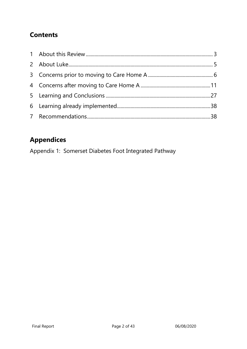### **Contents**

## **Appendices**

Appendix 1: Somerset Diabetes Foot Integrated Pathway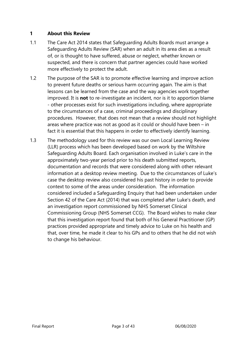#### <span id="page-2-0"></span>**1 About this Review**

- 1.1 The Care Act 2014 states that Safeguarding Adults Boards must arrange a Safeguarding Adults Review (SAR) when an adult in its area dies as a result of, or is thought to have suffered, abuse or neglect, whether known or suspected, and there is concern that partner agencies could have worked more effectively to protect the adult.
- 1.2 The purpose of the SAR is to promote effective learning and improve action to prevent future deaths or serious harm occurring again. The aim is that lessons can be learned from the case and the way agencies work together improved. It is **not** to re-investigate an incident, nor is it to apportion blame - other processes exist for such investigations including, where appropriate to the circumstances of a case, criminal proceedings and disciplinary procedures. However, that does not mean that a review should not highlight areas where practice was not as good as it could or should have been – in fact it is essential that this happens in order to effectively identify learning.
- 1.3 The methodology used for this review was our own Local Learning Review (LLR) process which has been developed based on work by the Wiltshire Safeguarding Adults Board. Each organisation involved in Luke's care in the approximately two-year period prior to his death submitted reports, documentation and records that were considered along with other relevant information at a desktop review meeting. Due to the circumstances of Luke's case the desktop review also considered his past history in order to provide context to some of the areas under consideration. The information considered included a Safeguarding Enquiry that had been undertaken under Section 42 of the Care Act (2014) that was completed after Luke's death, and an investigation report commissioned by NHS Somerset Clinical Commissioning Group (NHS Somerset CCG). The Board wishes to make clear that this investigation report found that both of his General Practitioner (GP) practices provided appropriate and timely advice to Luke on his health and that, over time, he made it clear to his GPs and to others that he did not wish to change his behaviour.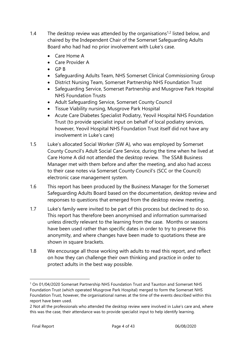- 1.4 The desktop review was attended by the organisations<sup>1,2</sup> listed below, and chaired by the Independent Chair of the Somerset Safeguarding Adults Board who had had no prior involvement with Luke's case.
	- Care Home A
	- Care Provider A
	- $\bullet$  GP B
	- Safeguarding Adults Team, NHS Somerset Clinical Commissioning Group
	- District Nursing Team, Somerset Partnership NHS Foundation Trust
	- Safeguarding Service, Somerset Partnership and Musgrove Park Hospital NHS Foundation Trusts
	- Adult Safeguarding Service, Somerset County Council
	- Tissue Viability nursing, Musgrove Park Hospital
	- Acute Care Diabetes Specialist Podiatry, Yeovil Hospital NHS Foundation Trust (to provide specialist input on behalf of local podiatry services, however, Yeovil Hospital NHS Foundation Trust itself did not have any involvement in Luke's care)
- 1.5 Luke's allocated Social Worker (SW A), who was employed by Somerset County Council's Adult Social Care Service, during the time when he lived at Care Home A did not attended the desktop review. The SSAB Business Manager met with them before and after the meeting, and also had access to their case notes via Somerset County Council's (SCC or the Council) electronic case management system.
- 1.6 This report has been produced by the Business Manager for the Somerset Safeguarding Adults Board based on the documentation, desktop review and responses to questions that emerged from the desktop review meeting.
- 1.7 Luke's family were invited to be part of this process but declined to do so. This report has therefore been anonymised and information summarised unless directly relevant to the learning from the case. Months or seasons have been used rather than specific dates in order to try to preserve this anonymity, and where changes have been made to quotations these are shown in square brackets.
- 1.8 We encourage all those working with adults to read this report, and reflect on how they can challenge their own thinking and practice in order to protect adults in the best way possible.

<sup>1</sup> On 01/04/2020 Somerset Partnership NHS Foundation Trust and Taunton and Somerset NHS Foundation Trust (which operated Musgrove Park Hospital) merged to form the Somerset NHS Foundation Trust, however, the organisational names at the time of the events described within this report have been used.

<sup>2</sup> Not all the professionals who attended the desktop review were involved in Luke's care and, where this was the case, their attendance was to provide specialist input to help identify learning.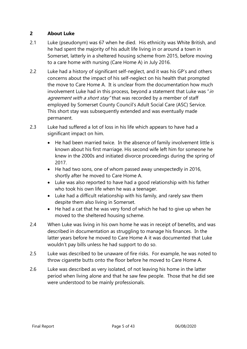#### <span id="page-4-0"></span>**2 About Luke**

- 2.1 Luke (pseudonym) was 67 when he died. His ethnicity was White British, and he had spent the majority of his adult life living in or around a town in Somerset, latterly in a sheltered housing scheme from 2015, before moving to a care home with nursing (Care Home A) in July 2016.
- 2.2 Luke had a history of significant self-neglect, and it was his GP's and others concerns about the impact of his self-neglect on his health that prompted the move to Care Home A. It is unclear from the documentation how much involvement Luke had in this process, beyond a statement that Luke was "in agreement with a short stay" that was recorded by a member of staff employed by Somerset County Council's Adult Social Care (ASC) Service. This short stay was subsequently extended and was eventually made permanent.
- 2.3 Luke had suffered a lot of loss in his life which appears to have had a significant impact on him.
	- He had been married twice. In the absence of family involvement little is known about his first marriage. His second wife left him for someone he knew in the 2000s and initiated divorce proceedings during the spring of 2017.
	- He had two sons, one of whom passed away unexpectedly in 2016, shortly after he moved to Care Home A.
	- Luke was also reported to have had a good relationship with his father who took his own life when he was a teenager.
	- Luke had a difficult relationship with his family, and rarely saw them despite them also living in Somerset.
	- He had a cat that he was very fond of which he had to give up when he moved to the sheltered housing scheme.
- 2.4 When Luke was living in his own home he was in receipt of benefits, and was described in documentation as struggling to manage his finances. In the latter years before he moved to Care Home A it was documented that Luke wouldn't pay bills unless he had support to do so.
- 2.5 Luke was described to be unaware of fire risks. For example, he was noted to throw cigarette butts onto the floor before he moved to Care Home A.
- 2.6 Luke was described as very isolated, of not leaving his home in the latter period when living alone and that he saw few people. Those that he did see were understood to be mainly professionals.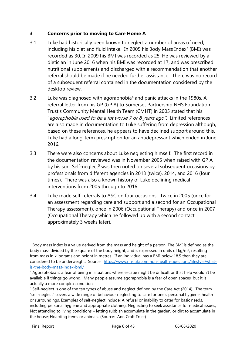#### <span id="page-5-0"></span>**3 Concerns prior to moving to Care Home A**

- 3.1 Luke had historically been known to neglect a number of areas of need, including his diet and fluid intake. In 2005 his Body Mass Index $3$  (BMI) was recorded as 30. In 2009 his BMI was recorded as 25. He was reviewed by a dietician in June 2016 when his BMI was recorded at 17, and was prescribed nutritional supplements and discharged with a recommendation that another referral should be made if he needed further assistance. There was no record of a subsequent referral contained in the documentation considered by the desktop review.
- 3.2 Luke was diagnosed with agoraphobia<sup>4</sup> and panic attacks in the 1980s. A referral letter from his GP (GP A) to Somerset Partnership NHS Foundation Trust's Community Mental Health Team (CMHT) in 2005 stated that his "agoraphobia used to be a lot worse 7 or 8 years ago". Limited references are also made in documentation to Luke suffering from depression although, based on these references, he appears to have declined support around this. Luke had a long-term prescription for an antidepressant which ended in June 2016.
- 3.3 There were also concerns about Luke neglecting himself. The first record in the documentation reviewed was in November 2005 when raised with GP A by his son. Self-neglect<sup>5</sup> was then noted on several subsequent occasions by professionals from different agencies in 2013 (twice), 2014, and 2016 (four times). There was also a known history of Luke declining medical interventions from 2005 through to 2016.
- 3.4 Luke made self-referrals to ASC on four occasions. Twice in 2005 (once for an assessment regarding care and support and a second for an Occupational Therapy assessment), once in 2006 (Occupational Therapy) and once in 2007 (Occupational Therapy which he followed up with a second contact approximately 3 weeks later).

<sup>&</sup>lt;sup>3</sup> Body mass index is a value derived from the mass and height of a person. The BMI is defined as the body mass divided by the square of the body height, and is expressed in units of kg/m², resulting from mass in kilograms and height in metres. If an individual has a BMI below 18.5 then they are considered to be underweight. Source: [https://www.nhs.uk/common-health-questions/lifestyle/what](https://www.nhs.uk/common-health-questions/lifestyle/what-is-the-body-mass-index-bmi/)[is-the-body-mass-index-bmi/](https://www.nhs.uk/common-health-questions/lifestyle/what-is-the-body-mass-index-bmi/)

<sup>4</sup> Agoraphobia is a fear of being in situations where escape might be difficult or that help wouldn't be available if things go wrong. Many people assume agoraphobia is a fear of open spaces, but it is actually a more complex condition.

<sup>&</sup>lt;sup>5</sup> Self-neglect is one of the ten types of abuse and neglect defined by the Care Act (2014). The term "self-neglect" covers a wide range of behaviour neglecting to care for one's personal hygiene, health or surroundings. Examples of self-neglect include: A refusal or inability to cater for basic needs, including personal hygiene and appropriate clothing; Neglecting to seek assistance for medical issues; Not attending to living conditions – letting rubbish accumulate in the garden, or dirt to accumulate in the house; Hoarding items or animals. (Source: Ann Craft Trust)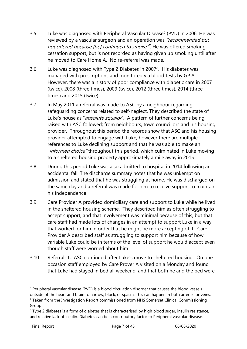- 3.5 Luke was diagnosed with Peripheral Vascular Disease<sup>6</sup> (PVD) in 2006. He was reviewed by a vascular surgeon and an operation was "recommended but not offered because [he] continued to smoke<sup>"7</sup>. He was offered smoking cessation support, but is not recorded as having given up smoking until after he moved to Care Home A. No re-referral was made.
- 3.6 Luke was diagnosed with Type 2 Diabetes in 2007 $^8$ . His diabetes was managed with prescriptions and monitored via blood tests by GP A. However, there was a history of poor compliance with diabetic care in 2007 (twice), 2008 (three times), 2009 (twice), 2012 (three times), 2014 (three times) and 2015 (twice).
- 3.7 In May 2011 a referral was made to ASC by a neighbour regarding safeguarding concerns related to self-neglect. They described the state of Luke's house as "absolute squalor". A pattern of further concerns being raised with ASC followed; from neighbours, town councillors and his housing provider. Throughout this period the records show that ASC and his housing provider attempted to engage with Luke, however there are multiple references to Luke declining support and that he was able to make an "*informed choice*" throughout this period, which culminated in Luke moving to a sheltered housing property approximately a mile away in 2015.
- 3.8 During this period Luke was also admitted to hospital in 2014 following an accidental fall. The discharge summary notes that he was unkempt on admission and stated that he was struggling at home. He was discharged on the same day and a referral was made for him to receive support to maintain his independence
- 3.9 Care Provider A provided domiciliary care and support to Luke while he lived in the sheltered housing scheme. They described him as often struggling to accept support, and that involvement was minimal because of this, but that care staff had made lots of changes in an attempt to support Luke in a way that worked for him in order that he might be more accepting of it. Care Provider A described staff as struggling to support him because of how variable Luke could be in terms of the level of support he would accept even though staff were worried about him.
- 3.10 Referrals to ASC continued after Luke's move to sheltered housing. On one occasion staff employed by Care Prover A visited on a Monday and found that Luke had stayed in bed all weekend, and that both he and the bed were

<sup>6</sup> Peripheral vascular disease (PVD) is a blood circulation disorder that causes the blood vessels outside of the heart and brain to narrow, block, or spasm. This can happen in both arteries or veins.

<sup>7</sup> Taken from the Investigation Report commissioned from NHS Somerset Clinical Commissioning Group

<sup>&</sup>lt;sup>8</sup> Type 2 diabetes is a form of diabetes that is characterised by high blood sugar, insulin resistance, and relative lack of insulin. Diabetes can be a contributory factor to Peripheral vascular disease.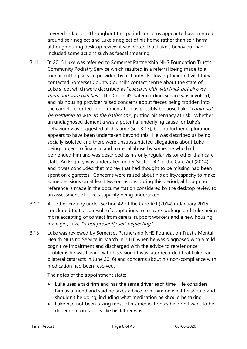covered in faeces. Throughout this period concerns appear to have centred around self-neglect and Luke's neglect of his home rather than self-harm, although during desktop review it was noted that Luke's behaviour had included some actions such as faecal smearing.

- 3.11 In 2015 Luke was referred to Somerset Partnership NHS Foundation Trust's Community Podiatry Service which resulted in a referral being made to a toenail cutting service provided by a charity. Following their first visit they contacted Somerset County Council's contact centre about the state of Luke's feet which were described as "caked in filth with thick dirt all over them and sore patches". The Council's Safequarding Service was involved, and his housing provider raised concerns about faeces being trodden into the carpet, recorded in documentation as possibly because Luke "could not be bothered to walk to the bathroom", putting his tenancy at risk. Whether an undiagnosed dementia was a potential underlying cause for Luke's behaviour was suggested at this time (see [3.13\)](#page-7-0), but no further exploration appears to have been undertaken beyond this. He was described as being socially isolated and there were unsubstantiated allegations about Luke being subject to financial and material abuse by someone who had befriended him and was described as his only regular visitor other than care staff. An Enquiry was undertaken under Section 42 of the Care Act (2014) and it was concluded that money that had thought to be missing had been spent on cigarettes. Concerns were raised about his ability/capacity to make some decisions on at least two occasions during this period, although no reference is made in the documentation considered by the desktop review to an assessment of Luke's capacity being undertaken.
- 3.12 A further Enquiry under Section 42 of the Care Act (2014) in January 2016 concluded that, as a result of adaptations to his care package and Luke being more accepting of contact from carers, support workers and a new housing manager, Luke "is not presently self-neglecting".
- <span id="page-7-0"></span>3.13 Luke was reviewed by Somerset Partnership NHS Foundation Trust's Mental Health Nursing Service in March in 2016 when he was diagnosed with a mild cognitive impairment and discharged with the advice to rerefer once problems he was having with his vision (it was later recorded that Luke had bilateral cataracts in June 2016) and concerns about his non-compliance with medication had been resolved.

The notes of the appointment state:

- Luke uses a taxi firm and has the same driver each time. He considers him as a friend and said he takes advice from him on what he should and shouldn't be doing, including what medication he should be taking
- Luke had not been taking most of his medication as he didn't want to be dependent on tablets like his father was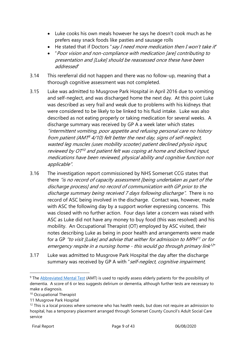- Luke cooks his own meals however he says he doesn't cook much as he prefers easy snack foods like pasties and sausage rolls
- He stated that if Doctors "say I need more medication then I won't take it"
- "Poor vision and non-compliance with medication [are] contributing to presentation and [Luke] should be reassessed once these have been addressed"
- 3.14 This rereferral did not happen and there was no follow-up, meaning that a thorough cognitive assessment was not completed.
- 3.15 Luke was admitted to Musgrove Park Hospital in April 2016 due to vomiting and self-neglect, and was discharged home the next day. At this point Luke was described as very frail and weak due to problems with his kidneys that were considered to be likely to be linked to his fluid intake. Luke was also described as not eating properly or taking medication for several weeks. A discharge summary was received by GP A a week later which states "intermittent vomiting, poor appetite and refusing personal care no history from patient (AMT <sup>9</sup> 4/10) felt better the next day, signs of self-neglect, wasted leg muscles (uses mobility scooter) patient declined physio input, reviewed by OT <sup>10</sup> and patient felt was coping at home and declined input, medications have been reviewed, physical ability and cognitive function not applicable".
- 3.16 The investigation report commissioned by NHS Somerset CCG states that there "is no record of capacity assessment [being undertaken as part of the discharge process] and no record of communication with GP prior to the discharge summary being received 7 days following discharge". There is no record of ASC being involved in the discharge. Contact was, however, made with ASC the following day by a support worker expressing concerns. This was closed with no further action. Four days later a concern was raised with ASC as Luke did not have any money to buy food (this was resolved) and his mobility. An Occupational Therapist (OT) employed by ASC visited, their notes describing Luke as being in poor health and arrangements were made for a GP "to visit [Luke] and advise that wither for admission to MPH<sup>11</sup> or for emergency respite in a nursing home - this would go through primary link<sup>12</sup>"
- 3.17 Luke was admitted to Musgrove Park Hospital the day after the discharge summary was received by GP A with "self-neglect, cognitive impairment,

<sup>&</sup>lt;sup>9</sup> The **Abbreviated Mental Test** (AMT) is used to rapidly assess elderly patients for the possibility of dementia. A score of 6 or less suggests delirium or dementia, although further tests are necessary to make a diagnosis.

<sup>&</sup>lt;sup>10</sup> Occupational Therapist

<sup>11</sup> Musgrove Park Hospital

 $12$  This is a local process where someone who has health needs, but does not require an admission to hospital, has a temporary placement arranged through Somerset County Council's Adult Social Care service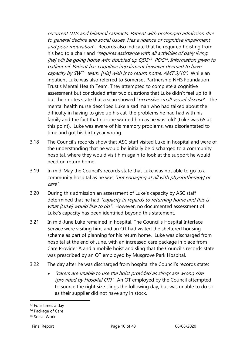recurrent UTIs and bilateral cataracts. Patient with prolonged admission due to general decline and social issues. Has evidence of cognitive impairment and poor motivation". Records also indicate that he required hoisting from his bed to a chair and "requires assistance with all activities of daily living. [he] will be going home with doubled up QDS13 POC14. Information given to patient nil. Patient has cognitive impairment however deemed to have capacity by SW<sup>15</sup> team. [His] wish is to return home. AMT 3/10". While an inpatient Luke was also referred to Somerset Partnership NHS Foundation Trust's Mental Health Team. They attempted to complete a cognitive assessment but concluded after two questions that Luke didn't feel up to it, but their notes state that a scan showed "*excessive small vessel disease*". The mental health nurse described Luke a sad man who had talked about the difficulty in having to give up his cat, the problems he had had with his family and the fact that no-one wanted him as he was 'old' (Luke was 65 at this point). Luke was aware of his memory problems, was disorientated to time and got his birth year wrong.

- 3.18 The Council's records show that ASC staff visited Luke in hospital and were of the understanding that he would be initially be discharged to a community hospital, where they would visit him again to look at the support he would need on return home.
- 3.19 In mid-May the Council's records state that Luke was not able to go to a community hospital as he was "not engaging at all with physioltherapy] or care".
- 3.20 During this admission an assessment of Luke's capacity by ASC staff determined that he had "capacity in regards to returning home and this is what [Luke] would like to do". However, no documented assessment of Luke's capacity has been identified beyond this statement.
- 3.21 In mid-June Luke remained in hospital. The Council's Hospital Interface Service were visiting him, and an OT had visited the sheltered housing scheme as part of planning for his return home. Luke was discharged from hospital at the end of June, with an increased care package in place from Care Provider A and a mobile hoist and sling that the Council's records state was prescribed by an OT employed by Musgrove Park Hospital.
- 3.22 The day after he was discharged from hospital the Council's records state:
	- "carers are unable to use the hoist provided as slings are wrong size (provided by Hospital OT)". An OT employed by the Council attempted to source the right size slings the following day, but was unable to do so as their supplier did not have any in stock.

<sup>&</sup>lt;sup>13</sup> Four times a day

<sup>&</sup>lt;sup>14</sup> Package of Care

<sup>15</sup> Social Work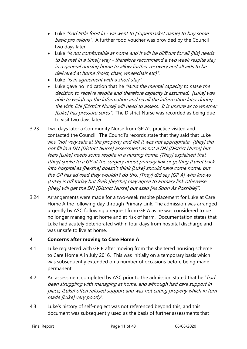- Luke "had little food in we went to [Supermarket name] to buy some basic provisions". A further food voucher was provided by the Council two days later.
- Luke "is not comfortable at home and it will be difficult for all [his] needs to be met in a timely way - therefore recommend a two week respite stay in a general nursing home to allow further recovery and all aids to be delivered at home (hoist, chair, wheelchair etc)".
- Luke "is in agreement with a short stay".
- Luke gave no indication that he *"lacks the mental capacity to make the* decision to receive respite and therefore capacity is assumed. [Luke] was able to weigh up the information and recall the information later during the visit. DN [District Nurse] will need to assess. It is unsure as to whether [Luke] has pressure sores". The District Nurse was recorded as being due to visit two days later.
- 3.23 Two days later a Community Nurse from GP A's practice visited and contacted the Council. The Council's records state that they said that Luke was "not very safe at the property and felt it was not appropriate- [they] did not fill in a DN [District Nurse] assessment as not a DN [District Nurse] but feels [Luke] needs some respite in a nursing home. [They] explained that [they] spoke to a GP at the surgery about primary link or getting [Luke] back into hospital as [he/she] doesn't think [Luke] should have come home, but the GP has advised they wouldn't do this. [They] did say [GP A] who knows [Luke] is off today but feels [he/she] may agree to Primary link otherwise [they] will get the DN [District Nurse] out asap [As Soon As Possible]".
- 3.24 Arrangements were made for a two-week respite placement for Luke at Care Home A the following day through Primary Link. The admission was arranged urgently by ASC following a request from GP A as he was considered to be no longer managing at home and at risk of harm. Documentation states that Luke had acutely deteriorated within four days from hospital discharge and was unsafe to live at home.

#### <span id="page-10-0"></span>**4 Concerns after moving to Care Home A**

- 4.1 Luke registered with GP B after moving from the sheltered housing scheme to Care Home A in July 2016. This was initially on a temporary basis which was subsequently extended on a number of occasions before being made permanent.
- 4.2 An assessment completed by ASC prior to the admission stated that he "had been struggling with managing at home, and although had care support in place, [Luke] often refused support and was not eating properly which in turn made [Luke] very poorly".
- 4.3 Luke's history of self-neglect was not referenced beyond this, and this document was subsequently used as the basis of further assessments that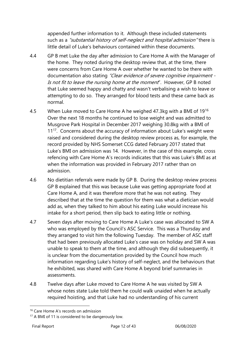appended further information to it. Although these included statements such as a "substantial history of self-neglect and hospital admission" there is little detail of Luke's behaviours contained within these documents.

- 4.4 GP B met Luke the day after admission to Care Home A with the Manager of the home. They noted during the desktop review that, at the time, there were concerns from Care Home A over whether he wanted to be there with documentation also stating "Clear evidence of severe cognitive impairment -Is not fit to leave the nursing home at the moment". However, GP B noted that Luke seemed happy and chatty and wasn't verbalising a wish to leave or attempting to do so. They arranged for blood tests and these came back as normal.
- 4.5 When Luke moved to Care Home A he weighed 47.3kg with a BMI of 19<sup>16</sup> Over the next 18 months he continued to lose weight and was admitted to Musgrove Park Hospital in December 2017 weighing 30.8kg with a BMI of 11<sup>17</sup>. Concerns about the accuracy of information about Luke's weight were raised and considered during the desktop review process as, for example, the record provided by NHS Somerset CCG dated February 2017 stated that Luke's BMI on admission was 14. However, in the case of this example, cross refencing with Care Home A's records indicates that this was Luke's BMI as at when the information was provided in February 2017 rather than on admission.
- 4.6 No dietitian referrals were made by GP B. During the desktop review process GP B explained that this was because Luke was getting appropriate food at Care Home A, and it was therefore more that he was not eating. They described that at the time the question for them was what a dietician would add as, when they talked to him about his eating Luke would increase his intake for a short period, then slip back to eating little or nothing.
- 4.7 Seven days after moving to Care Home A Luke's case was allocated to SW A who was employed by the Council's ASC Service. This was a Thursday and they arranged to visit him the following Tuesday. The member of ASC staff that had been previously allocated Luke's case was on holiday and SW A was unable to speak to them at the time, and although they did subsequently, it is unclear from the documentation provided by the Council how much information regarding Luke's history of self-neglect, and the behaviours that he exhibited, was shared with Care Home A beyond brief summaries in assessments.
- 4.8 Twelve days after Luke moved to Care Home A he was visited by SW A whose notes state Luke told them he could walk unaided when he actually required hoisting, and that Luke had no understanding of his current

<sup>&</sup>lt;sup>16</sup> Care Home A's records on admission

<sup>&</sup>lt;sup>17</sup> A BMI of 11 is considered to be dangerously low.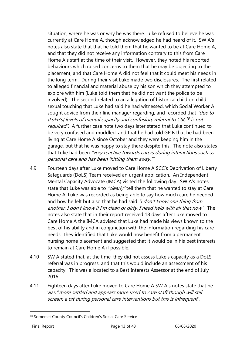situation, where he was or why he was there. Luke refused to believe he was currently at Care Home A, though acknowledged he had heard of it. SW A's notes also state that that he told them that he wanted to be at Care Home A, and that they did not receive any information contrary to this from Care Home A's staff at the time of their visit. However, they noted his reported behaviours which raised concerns to them that he may be objecting to the placement, and that Care Home A did not feel that it could meet his needs in the long term. During their visit Luke made two disclosures. The first related to alleged financial and material abuse by his son which they attempted to explore with him (Luke told them that he did not want the police to be involved). The second related to an allegation of historical child on child sexual touching that Luke had said he had witnessed, which Social Worker A sought advice from their line manager regarding, and recorded that "due to [Luke's] levels of mental capacity and confusion, referral to CSC<sup>18</sup> is not required". A further case note two days later stated that Luke continued to be very confused and muddled, and that he had told GP B that he had been living at Care Home A since October and they were keeping him in the garage, but that he was happy to stay there despite this. The note also states that Luke had been "very reactive towards carers during interactions such as personal care and has been 'hitting them away.'"

- 4.9 Fourteen days after Luke moved to Care Home A SCC's Deprivation of Liberty Safeguards (DoLS) Team received an urgent application. An Independent Mental Capacity Advocate (IMCA) visited the following day. SW A's notes state that Luke was able to "clearly" tell them that he wanted to stay at Care Home A. Luke was recorded as being able to say how much care he needed and how he felt but also that he had said "I don't know one thing from another, I don't know if I'm clean or dirty, I need help with all that now". The notes also state that in their report received 18 days after Luke moved to Care Home A the IMCA advised that Luke had made his views known to the best of his ability and in conjunction with the information regarding his care needs. They identified that Luke would now benefit from a permanent nursing home placement and suggested that it would be in his best interests to remain at Care Home A if possible.
- 4.10 SW A stated that, at the time, they did not assess Luke's capacity as a DoLS referral was in progress, and that this would include an assessment of his capacity. This was allocated to a Best Interests Assessor at the end of July 2016.
- 4.11 Eighteen days after Luke moved to Care Home A SW A's notes state that he was "more settled and appears more used to care staff though will still scream a bit during personal care interventions but this is infrequent".

<sup>&</sup>lt;sup>18</sup> Somerset County Council's Children's Social Care Service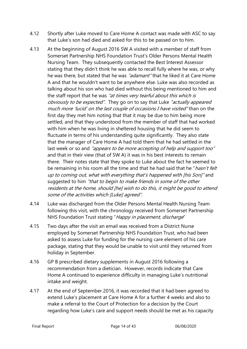- 4.12 Shortly after Luke moved to Care Home A contact was made with ASC to say that Luke's son had died and asked for this to be passed on to him.
- 4.13 At the beginning of August 2016 SW A visited with a member of staff from Somerset Partnership NHS Foundation Trust's Older Persons Mental Health Nursing Team. They subsequently contacted the Best Interest Assessor stating that they didn't think he was able to recall fully where he was, or why he was there, but stated that he was *"adamant"* that he liked it at Care Home A and that he wouldn't want to be anywhere else. Luke was also recorded as talking about his son who had died without this being mentioned to him and the staff report that he was "at times very tearful about this which is obviously to be expected". They go on to say that Luke "actually appeared much more 'lucid' on the last couple of occasions I have visited" than on the first day they met him noting that that it may be due to him being more settled, and that they understood from the member of staff that had worked with him when he was living in sheltered housing that he did seem to fluctuate in terms of his understanding quite significantly. They also state that the manager of Care Home A had told them that he had settled in the last week or so and "appears to be more accepting of help and support too" and that in their view (that of SW A) it was in his best interests to remain there. Their notes state that they spoke to Luke about the fact he seemed to be remaining in his room all the time and that he had said that he "hasn't felt up to coming out, what with everything that's happened with [his Son]" and suggested to him "that to begin to make friends in some of the other residents at the home, should [he] wish to do this, it might be good to attend some of the activities which [Luke] agreed".
- 4.14 Luke was discharged from the Older Persons Mental Health Nursing Team following this visit, with the chronology received from Somerset Partnership NHS Foundation Trust stating "Happy in placement, discharge"
- 4.15 Two days after the visit an email was received from a District Nurse employed by Somerset Partnership NHS Foundation Trust, who had been asked to assess Luke for funding for the nursing care element of his care package, stating that they would be unable to visit until they returned from holiday in September.
- 4.16 GP B prescribed dietary supplements in August 2016 following a recommendation from a dietician. However, records indicate that Care Home A continued to experience difficulty in managing Luke's nutritional intake and weight.
- 4.17 At the end of September 2016, it was recorded that it had been agreed to extend Luke's placement at Care Home A for a further 4 weeks and also to make a referral to the Court of Protection for a decision by the Court regarding how Luke's care and support needs should be met as his capacity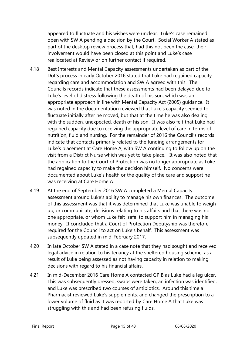appeared to fluctuate and his wishes were unclear. Luke's case remained open with SW A pending a decision by the Court. Social Worker A stated as part of the desktop review process that, had this not been the case, their involvement would have been closed at this point and Luke's case reallocated at Review or on further contact if required.

- 4.18 Best Interests and Mental Capacity assessments undertaken as part of the DoLS process in early October 2016 stated that Luke had regained capacity regarding care and accommodation and SW A agreed with this. The Councils records indicate that these assessments had been delayed due to Luke's level of distress following the death of his son, which was an appropriate approach in line with Mental Capacity Act (2005) guidance. It was noted in the documentation reviewed that Luke's capacity seemed to fluctuate initially after he moved, but that at the time he was also dealing with the sudden, unexpected, death of his son. It was also felt that Luke had regained capacity due to receiving the appropriate level of care in terms of nutrition, fluid and nursing. For the remainder of 2016 the Council's records indicate that contacts primarily related to the funding arrangements for Luke's placement at Care Home A, with SW A continuing to follow up on the visit from a District Nurse which was yet to take place. It was also noted that the application to the Court of Protection was no longer appropriate as Luke had regained capacity to make the decision himself. No concerns were documented about Luke's health or the quality of the care and support he was receiving at Care Home A.
- 4.19 At the end of September 2016 SW A completed a Mental Capacity assessment around Luke's ability to manage his own finances. The outcome of this assessment was that it was determined that Luke was unable to weigh up, or communicate, decisions relating to his affairs and that there was no one appropriate, or whom Luke felt 'safe' to support him in managing his money. It concluded that a Court of Protection Deputyship was therefore required for the Council to act on Luke's behalf. This assessment was subsequently updated in mid-February 2017.
- 4.20 In late October SW A stated in a case note that they had sought and received legal advice in relation to his tenancy at the sheltered housing scheme, as a result of Luke being assessed as not having capacity in relation to making decisions with regard to his financial affairs.
- 4.21 In mid-December 2016 Care Home A contacted GP B as Luke had a leg ulcer. This was subsequently dressed, swabs were taken, an infection was identified, and Luke was prescribed two courses of antibiotics. Around this time a Pharmacist reviewed Luke's supplements, and changed the prescription to a lower volume of fluid as it was reported by Care Home A that Luke was struggling with this and had been refusing fluids.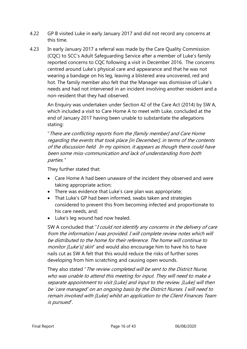- 4.22 GP B visited Luke in early January 2017 and did not record any concerns at this time.
- 4.23 In early January 2017 a referral was made by the Care Quality Commission (CQC) to SCC's Adult Safeguarding Service after a member of Luke's family reported concerns to CQC following a visit in December 2016. The concerns centred around Luke's physical care and appearance and that he was not wearing a bandage on his leg, leaving a blistered area uncovered, red and hot. The family member also felt that the Manager was dismissive of Luke's needs and had not intervened in an incident involving another resident and a non-resident that they had observed.

An Enquiry was undertaken under Section 42 of the Care Act (2014) by SW A, which included a visit to Care Home A to meet with Luke, concluded at the end of January 2017 having been unable to substantiate the allegations stating:

"There are conflicting reports from the [family member] and Care Home regarding the events that took place [in December], in terms of the contents of the discussion held. In my opinion, it appears as though there could have been some miss-communication and lack of understanding from both parties."

They further stated that:

- Care Home A had been unaware of the incident they observed and were taking appropriate action;
- There was evidence that Luke's care plan was appropriate;
- That Luke's GP had been informed, swabs taken and strategies considered to prevent this from becoming infected and proportionate to his care needs, and;
- Luke's leg wound had now healed.

SW A concluded that "I could not identify any concerns in the delivery of care from the information I was provided. I will complete review notes which will be distributed to the home for their reference. The home will continue to monitor [Luke's] skin" and would also encourage him to have his to have nails cut as SW A felt that this would reduce the risks of further sores developing from him scratching and causing open wounds.

They also stated "The review completed will be sent to the District Nurse, who was unable to attend this meeting for input. They will need to make a separate appointment to visit [Luke] and input to the review. [Luke] will then be 'care managed' on an ongoing basis by the District Nurses. I will need to remain involved with [Luke] whilst an application to the Client Finances Team is pursued".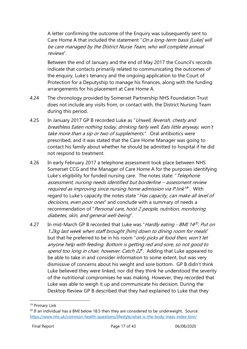A letter confirming the outcome of the Enquiry was subsequently sent to Care Home A that included the statement "On a long-term basis [Luke] will be care managed by the District Nurse Team, who will complete annual reviews".

Between the end of January and the end of May 2017 the Council's records indicate that contacts primarily related to communicating the outcomes of the enquiry, Luke's tenancy and the ongoing application to the Court of Protection for a Deputyship to manage his finances, along with the funding arrangements for his placement at Care Home A.

- 4.24 The chronology provided by Somerset Partnership NHS Foundation Trust does not include any visits from, or contact with, the District Nursing Team during this period.
- 4.25 In January 2017 GP B recorded Luke as "Unwell, feverish, chesty and breathless Eaten nothing today, drinking fairly well. Eats little anyway, won't take more than a sip or two of supplements.". Oral antibiotics were prescribed, and it was stated that the Care Home Manager was going to contact his family about whether he should be admitted to hospital if he did not respond to treatment.
- 4.26 In early February 2017 a telephone assessment took place between NHS Somerset CCG and the Manager of Care Home A for the purposes identifying Luke's eligibility for funded nursing care. The notes state: "Telephone assessment, nursing needs identified but borderline – assessment review required as improving since nursing home admission via P.link<sup>19</sup>". With regard to Luke's capacity the notes state "Has capacity, can make all level of decisions, even poor ones<sup>"</sup> and conclude with a summary of needs a recommendation of "Personal care, hoist 2 people, nutrition, monitoring diabetes, skin, and general well-being".
- 4.27 In mid-March GP B recorded that Luke was "Hardly eating BMI 14<sup>20</sup>. Put on 1.2kg last week when staff brought [him] down to dining room for meals" but that he preferred to be in his room "*only picks at food then, won't let* anyone help with feeding. Bottom is getting red and sore, so not good to spend too long in chair, however. Catch 22". Adding that Luke appeared to be able to take in and consider information to some extent, but was very dismissive of concerns about his weight and sore bottom. GP B didn't think Luke believed they were linked, nor did they think he understood the severity of the nutritional compromises he was making. However, they recorded that Luke was able to weigh it up and communicate his decision. During the Desktop Review GP B described that they had explained to Luke that they

<sup>19</sup> Primary Link

 $20$  If an individual has a BMI below 18.5 then they are considered to be underweight. Source: <https://www.nhs.uk/common-health-questions/lifestyle/what-is-the-body-mass-index-bmi/>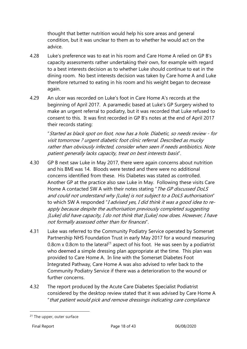thought that better nutrition would help his sore areas and general condition, but it was unclear to them as to whether he would act on the advice.

- 4.28 Luke's preference was to eat in his room and Care Home A relied on GP B's capacity assessments rather undertaking their own, for example with regard to a best interests decision as to whether Luke should continue to eat in the dining room. No best interests decision was taken by Care home A and Luke therefore returned to eating in his room and his weight began to decrease again.
- 4.29 An ulcer was recorded on Luke's foot in Care Home A's records at the beginning of April 2017. A paramedic based at Luke's GP Surgery wished to make an urgent referral to podiatry, but it was recorded that Luke refused to consent to this. It was first recorded in GP B's notes at the end of April 2017 their records stating:

"Started as black spot on foot, now has a hole. Diabetic, so needs review - for visit tomorrow ? urgent diabetic foot clinic referral. Described as mucky rather than obviously infected, consider when seen if needs antibiotics. Note patient generally lacks capacity, treat on best interests basis".

- 4.30 GP B next saw Luke in May 2017, there were again concerns about nutrition and his BMI was 14. Bloods were tested and there were no additional concerns identified from these. His Diabetes was stated as controlled. Another GP at the practice also saw Luke in May. Following these visits Care Home A contacted SW A with their notes stating "*The GP discussed DoLS* and could not understand why [Luke] is not subject to a DoLS authorisation" to which SW A responded "I advised yes, I did think it was a good idea to reapply because despite the authorisation previously completed suggesting [Luke] did have capacity, I do not think that [Luke] now does. However, I have not formally assessed other than for finances".
- <span id="page-17-0"></span>4.31 Luke was referred to the Community Podiatry Service operated by Somerset Partnership NHS Foundation Trust in early May 2017 for a wound measuring 0.8cm x 0.8cm to the lateral<sup>21</sup> aspect of his foot. He was seen by a podiatrist who deemed a simple dressing plan appropriate at the time. This plan was provided to Care Home A. In line with the Somerset Diabetes Foot Integrated Pathway, Care Home A was also advised to refer back to the Community Podiatry Service if there was a deterioration to the wound or further concerns.
- 4.32 The report produced by the Acute Care Diabetes Specialist Podiatrist considered by the desktop review stated that it was advised by Care Home A "that patient would pick and remove dressings indicating care compliance

<sup>&</sup>lt;sup>21</sup> The upper, outer surface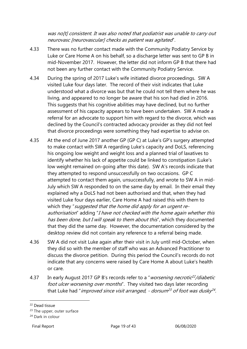was no[t] consistent. It was also noted that podiatrist was unable to carry out neurovasc [neurovascular] checks as patient was agitated".

- 4.33 There was no further contact made with the Community Podiatry Service by Luke or Care Home A on his behalf, so a discharge letter was sent to GP B in mid-November 2017. However, the letter did not inform GP B that there had not been any further contact with the Community Podiatry Service.
- 4.34 During the spring of 2017 Luke's wife initiated divorce proceedings. SW A visited Luke four days later. The record of their visit indicates that Luke understood what a divorce was but that he could not tell them where he was living, and appeared to no longer be aware that his son had died in 2016. This suggests that his cognitive abilities may have declined, but no further assessment of his capacity appears to have been undertaken. SW A made a referral for an advocate to support him with regard to the divorce, which was declined by the Council's contracted advocacy provider as they did not feel that divorce proceedings were something they had expertise to advise on.
- 4.35 At the end of June 2017 another GP (GP C) at Luke's GP's surgery attempted to make contact with SW A regarding Luke's capacity and DoLS, referencing his ongoing low weight and weight loss and a planned trial of laxatives to identify whether his lack of appetite could be linked to constipation (Luke's low weight remained on-going after this date). SW A's records indicate that they attempted to respond unsuccessfully on two occasions. GP C attempted to contact them again, unsuccessfully, and wrote to SW A in mid-July which SW A responded to on the same day by email. In their email they explained why a DoLS had not been authorised and that, when they had visited Luke four days earlier, Care Home A had raised this with them to which they "suggested that the home did apply for an urgent reauthorisation" adding "I have not checked with the home again whether this has been done, but I will speak to them about this", which they documented that they did the same day. However, the documentation considered by the desktop review did not contain any reference to a referral being made.
- 4.36 SW A did not visit Luke again after their visit in July until mid-October, when they did so with the member of staff who was an Advanced Practitioner to discuss the divorce petition. During this period the Council's records do not indicate that any concerns were raised by Care Home A about Luke's health or care.
- 4.37 In early August 2017 GP B's records refer to a "*worsening necrotic<sup>22</sup>/diabetic* foot ulcer worsening over months". They visited two days later recording that Luke had "*improved since visit arranged, - dorsum<sup>23</sup> of foot was dusky<sup>24</sup>.*

<sup>&</sup>lt;sup>22</sup> Dead tissue

<sup>&</sup>lt;sup>23</sup> The upper, outer surface

<sup>&</sup>lt;sup>24</sup> Dark in colour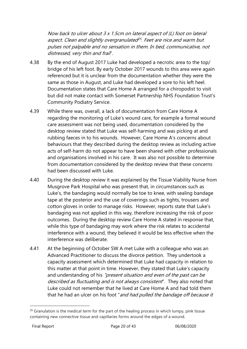Now back to ulcer about 3 x 1.5cm on lateral aspect of (L) foot on lateral aspect. Clean and slightly overgranulated<sup>25</sup>. Feet are nice and warm but pulses not palpable and no sensation in them. In bed, communicative, not distressed, very thin and frail".

- 4.38 By the end of August 2017 Luke had developed a necrotic area to the top/ bridge of his left foot. By early October 2017 wounds to this area were again referenced but it is unclear from the documentation whether they were the same as those in August, and Luke had developed a sore to his left heel. Documentation states that Care Home A arranged for a chiropodist to visit but did not make contact with Somerset Partnership NHS Foundation Trust's Community Podiatry Service.
- 4.39 While there was, overall, a lack of documentation from Care Home A regarding the monitoring of Luke's wound care, for example a formal wound care assessment was not being used, documentation considered by the desktop review stated that Luke was self-harming and was picking at and rubbing faeces in to his wounds. However, Care Home A's concerns about behaviours that they described during the desktop review as including active acts of self-harm do not appear to have been shared with other professionals and organisations involved in his care. It was also not possible to determine from documentation considered by the desktop review that these concerns had been discussed with Luke.
- 4.40 During the desktop review it was explained by the Tissue Viability Nurse from Musgrove Park Hospital who was present that, in circumstances such as Luke's, the bandaging would normally be toe to knee, with sealing bandage tape at the posterior and the use of coverings such as tights, trousers and cotton gloves in order to manage risks. However, reports state that Luke's bandaging was not applied in this way, therefore increasing the risk of poor outcomes. During the desktop review Care Home A stated in response that, while this type of bandaging may work where the risk relates to accidental interference with a wound, they believed it would be less effective when the interference was deliberate.
- 4.41 At the beginning of October SW A met Luke with a colleague who was an Advanced Practitioner to discuss the divorce petition. They undertook a capacity assessment which determined that Luke had capacity in relation to this matter at that point in time. However, they stated that Luke's capacity and understanding of his "present situation and even of the past can be described as fluctuating and is not always consistent". They also noted that Luke could not remember that he lived at Care Home A and had told them that he had an ulcer on his foot "and had pulled the bandage off because it

<sup>&</sup>lt;sup>25</sup> Granulation is the medical term for the part of the healing process in which lumpy, pink tissue containing new connective tissue and capillaries forms around the edges of a wound.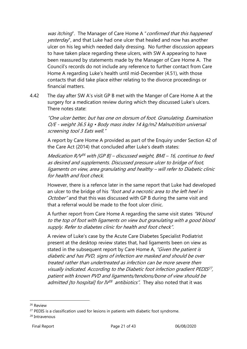was itching". The Manager of Care Home A "confirmed that this happened yesterday", and that Luke had one ulcer that healed and now has another ulcer on his leg which needed daily dressing. No further discussion appears to have taken place regarding these ulcers, with SW A appearing to have been reassured by statements made by the Manager of Care Home A. The Council's records do not include any reference to further contact from Care Home A regarding Luke's health until mid-December [\(4.51\)](#page-24-0), with those contacts that did take place either relating to the divorce proceedings or financial matters.

<span id="page-20-0"></span>4.42 The day after SW A's visit GP B met with the Manger of Care Home A at the surgery for a medication review during which they discussed Luke's ulcers. There notes state:

"One ulcer better, but has one on dorsum of foot. Granulating. Examination O/E - weight 36.5 kg • Body mass index 14 kg/m2 Malnutrition universal screening tool 3 Eats well."

A report by Care Home A provided as part of the Enquiry under Section 42 of the Care Act (2014) that concluded after Luke's death states:

Medication R/V<sup>26</sup> with [GP B] – discussed weight, BMI – 16, continue to feed as desired and supplements. Discussed pressure ulcer to bridge of foot, ligaments on view, area granulating and healthy – will refer to Diabetic clinic for health and foot check.

However, there is a refence later in the same report that Luke had developed an ulcer to the bridge of his "foot and a necrotic area to the left heel in October<sup>"</sup> and that this was discussed with GP B during the same visit and that a referral would be made to the foot ulcer clinic.

A further report from Care Home A regarding the same visit states "Wound" to the top of foot with ligaments on view but granulating with a good blood supply. Refer to diabetes clinic for health and foot check".

A review of Luke's case by the Acute Care Diabetes Specialist Podiatrist present at the desktop review states that, had ligaments been on view as stated in the subsequent report by Care Home A, "Given the patient is diabetic and has PVD, signs of infection are masked and should be over treated rather than undertreated as infection can be more severe then visually indicated. According to the Diabetic foot infection gradient PEDIS<sup>27</sup>, patient with known PVD and ligaments/tendons/bone of view should be admitted [to hospital] for IV<sup>28</sup> antibiotics". They also noted that it was

<sup>26</sup> Review

 $27$  PEDIS is a classification used for lesions in patients with diabetic foot syndrome.

<sup>28</sup> Intravenous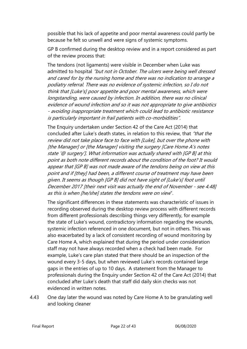possible that his lack of appetite and poor mental awareness could partly be because he felt so unwell and were signs of systemic symptoms.

GP B confirmed during the desktop review and in a report considered as part of the review process that:

The tendons (not ligaments) were visible in December when Luke was admitted to hospital "but not in October. The ulcers were being well dressed and cared for by the nursing home and there was no indication to arrange a podiatry referral. There was no evidence of systemic infection, so I do not think that [Luke's] poor appetite and poor mental awareness, which were longstanding, were caused by infection. In addition, there was no clinical evidence of wound infection and so it was not appropriate to give antibiotics - avoiding inappropriate treatment which could lead to antibiotic resistance is particularly important in frail patients with co-morbidities".

The Enquiry undertaken under Section 42 of the Care Act (2014) that concluded after Luke's death states, in relation to this review, that "that the review did not take place face to face with [Luke], but over the phone with [the Manager] or [the Manager] visiting the surgery [Care Home A's notes state '@ surgery']. What information was actually shared with [GP B] at this point as both note different records about the condition of the foot? It would appear that [GP B] was not made aware of the tendons being on view at this point and if [they] had been, a different course of treatment may have been given. It seems as though [GP B] did not have sight of [Luke's] foot until December 2017 [their next visit was actually the end of November - se[e 4.48\]](#page-22-0) as this is when [he/she] states the tendons were on view".

The significant differences in these statements was characteristic of issues in recording observed during the desktop review process with different records from different professionals describing things very differently, for example the state of Luke's wound, contradictory information regarding the wounds, systemic infection referenced in one document, but not in others. This was also exacerbated by a lack of consistent recording of wound monitoring by Care Home A, which explained that during the period under consideration staff may not have always recorded when a check had been made. For example, Luke's care plan stated that there should be an inspection of the wound every 3-5 days, but when reviewed Luke's records contained large gaps in the entries of up to 10 days. A statement from the Manager to professionals during the Enquiry under Section 42 of the Care Act (2014) that concluded after Luke's death that staff did daily skin checks was not evidenced in written notes.

4.43 One day later the wound was noted by Care Home A to be granulating well and looking cleaner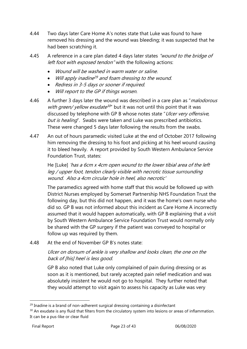- 4.44 Two days later Care Home A's notes state that Luke was found to have removed his dressing and the wound was bleeding; it was suspected that he had been scratching it.
- 4.45 A reference in a care plan dated 4 days later states "wound to the bridge of left foot with exposed tendon" with the following actions:
	- Wound will be washed in warm water or saline.
	- Will apply inadine <sup>29</sup> and foam dressing to the wound.
	- Redress in 3-5 days or sooner if required.
	- Will report to the GP if things worsen.
- 4.46 A further 3 days later the wound was described in a care plan as "*malodorous* with green/ yellow exudate<sup>30"</sup> but it was not until this point that it was discussed by telephone with GP B whose notes state "Ulcer very offensive, but is healing". Swabs were taken and Luke was prescribed antibiotics. These were changed 5 days later following the results from the swabs.
- 4.47 An out of hours paramedic visited Luke at the end of October 2017 following him removing the dressing to his foot and picking at his heel wound causing it to bleed heavily. A report provided by South Western Ambulance Service Foundation Trust, states:

He [Luke] 'has a 6cm x 4cm open wound to the lower tibial area of the left leg / upper foot, tendon clearly visible with necrotic tissue surrounding wound. Also a 4cm circular hole in heel, also necrotic'

The paramedics agreed with home staff that this would be followed up with District Nurses employed by Somerset Partnership NHS Foundation Trust the following day, but this did not happen, and it was the home's own nurse who did so. GP B was not informed about this incident as Care Home A incorrectly assumed that it would happen automatically, with GP B explaining that a visit by South Western Ambulance Service Foundation Trust would normally only be shared with the GP surgery if the patient was conveyed to hospital or follow up was required by them.

<span id="page-22-0"></span>4.48 At the end of November GP B's notes state:

Ulcer on dorsum of ankle is very shallow and looks clean, the one on the back of [his] heel is less good.

GP B also noted that Luke only complained of pain during dressing or as soon as it is mentioned, but rarely accepted pain relief medication and was absolutely insistent he would not go to hospital. They further noted that they would attempt to visit again to assess his capacity as Luke was very

 $29$  Inadine is a brand of non-adherent surgical dressing containing a disinfectant

<sup>&</sup>lt;sup>30</sup> An exudate is any fluid that filters from the circulatory system into lesions or areas of inflammation. It can be a pus-like or clear fluid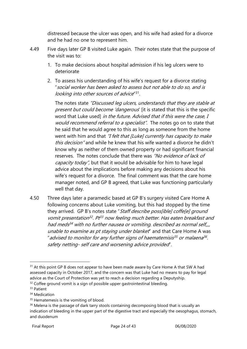distressed because the ulcer was open, and his wife had asked for a divorce and he had no one to represent him.

- 4.49 Five days later GP B visited Luke again. Their notes state that the purpose of the visit was to:
	- 1. To make decisions about hospital admission if his leg ulcers were to deteriorate
	- 2. To assess his understanding of his wife's request for a divorce stating "social worker has been asked to assess but not able to do so, and is looking into other sources of advice"<sup>31</sup>.

The notes state "Discussed leg ulcers, understands that they are stable at present but could become 'dangerous' [it is stated that this is the specific word that Luke used] in the future. Advised that if this were the case, I would recommend referral to a specialist". The notes go on to state that he said that he would agree to this as long as someone from the home went with him and that "I felt that [Luke] currently has capacity to make this decision" and while he knew that his wife wanted a divorce he didn't know why as neither of them owned property or had significant financial reserves. The notes conclude that there was "No evidence of lack of capacity today", but that it would be advisable for him to have legal advice about the implications before making any decisions about his wife's request for a divorce. The final comment was that the care home manager noted, and GP B agreed, that Luke was functioning particularly well that day.

4.50 Three days later a paramedic based at GP B's surgery visited Care Home A following concerns about Luke vomiting, but this had stopped by the time they arrived. GP B's notes state "Staff describe poss[ible] coffe[e] ground vomit presentation<sup>32</sup>. Pt<sup>33</sup> now feeling much better. Has eaten breakfast and had meds <sup>34</sup> with no further nausea or vomiting. described as normal self,,,, unable to examine as pt staying under blanket" and that Care Home A was " advised to monitor for any further signs of haematemisis<sup>35</sup> or malaena<sup>36</sup>. safety netting- self care and worsening advice provided".

<sup>&</sup>lt;sup>31</sup> At this point GP B does not appear to have been made aware by Care Home A that SW A had assessed capacity in October 2017, and the concern was that Luke had no means to pay for legal advice as the Court of Protection was yet to reach a decision regarding a Deputyship.

 $32$  Coffee ground vomit is a sign of possible upper gastrointestinal bleeding.

<sup>33</sup> Patient

<sup>&</sup>lt;sup>34</sup> Medication

<sup>&</sup>lt;sup>35</sup> Hematemesis is the vomiting of blood.

<sup>&</sup>lt;sup>36</sup> Melena is the passage of dark tarry stools containing decomposing blood that is usually an indication of bleeding in the upper part of the digestive tract and especially the oesophagus, stomach, and duodenum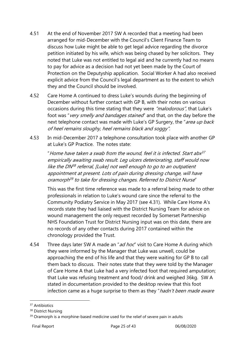- <span id="page-24-0"></span>4.51 At the end of November 2017 SW A recorded that a meeting had been arranged for mid-December with the Council's Client Finance Team to discuss how Luke might be able to get legal advice regarding the divorce petition initiated by his wife, which was being chased by her solicitors. They noted that Luke was not entitled to legal aid and he currently had no means to pay for advice as a decision had not yet been made by the Court of Protection on the Deputyship application. Social Worker A had also received explicit advice from the Council's legal department as to the extent to which they and the Council should be involved.
- 4.52 Care Home A continued to dress Luke's wounds during the beginning of December without further contact with GP B, with their notes on various occasions during this time stating that they were "malodorous", that Luke's foot was "very smelly and bandages stained" and that, on the day before the next telephone contact was made with Luke's GP Surgery, the "area up back of heel remains sloughy, heel remains black and soggy".
- <span id="page-24-1"></span>4.53 In mid-December 2017 a telephone consultation took place with another GP at Luke's GP Practice. The notes state:

"Home have taken a swab from the wound, feel it is infected. Start abx<sup>37</sup> empirically awaiting swab result. Leg ulcers deteriorating, staff would now like the DN<sup>38</sup> referral, [Luke] not well enough to go to an outpatient appointment at present. Lots of pain during dressing change, will have oramorph<sup>39</sup> to take for dressing changes. Referred to District Nurse"

This was the first time reference was made to a referral being made to other professionals in relation to Luke's wound care since the referral to the Community Podiatry Service in May 2017 (see [4.31\)](#page-17-0). While Care Home A's records state they had liaised with the District Nursing Team for advice on wound management the only request recorded by Somerset Partnership NHS Foundation Trust for District Nursing input was on this date, there are no records of any other contacts during 2017 contained within the chronology provided the Trust.

4.54 Three days later SW A made an "ad hoc" visit to Care Home A during which they were informed by the Manager that Luke was unwell, could be approaching the end of his life and that they were waiting for GP B to call them back to discuss. Their notes state that they were told by the Manager of Care Home A that Luke had a very infected foot that required amputation; that Luke was refusing treatment and food/ drink and weighed 36kg. SW A stated in documentation provided to the desktop review that this foot infection came as a huge surprise to them as they "hadn't been made aware

<sup>&</sup>lt;sup>37</sup> Antibiotics

<sup>&</sup>lt;sup>38</sup> District Nursing

<sup>&</sup>lt;sup>39</sup> Oramorph is a morphine-based medicine used for the relief of severe pain in adults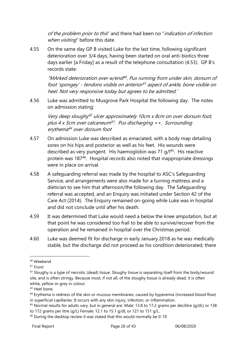of the problem prior to this" and there had been no "indication of infection when visiting" before this date.

4.55 On the same day GP B visited Luke for the last time, following significant deterioration over 3/4 days, having been started on oral anti-biotics three days earlier [a Friday] as a result of the telephone consultation [\(4.53\)](#page-24-1). GP B's records state:

"MArked deterioration over w/end 40 . Pus running from under skin, dorsum of foot 'spongey' - tendons visible on anterior <sup>41</sup> aspect of ankle, bone visible on heel. Not very responsive today but agrees to be admitted.'

4.56 Luke was admitted to Musgrove Park Hospital the following day. The notes on admission stating:

Very deep sloughy <sup>42</sup> ulcer approximately 10cm x 8cm on over dorsum foot, plus 4 x 5cm over calcaneum<sup>43</sup> . Pus discharging ++. Surrounding erythema <sup>44</sup> over dorsum foot

- 4.57 On admission Luke was described as emaciated, with a body map detailing sores on his hips and posterior as well as his feet. His wounds were described as very pungent. His haemoglobin was 71 g/l<sup>45</sup>. His reactive protein was 187<sup>46</sup>. Hospital records also noted that inappropriate dressings were in place on arrival.
- 4.58 A safeguarding referral was made by the hospital to ASC's Safeguarding Service, and arrangements were also made for a turning mattress and a dietician to see him that afternoon/the following day. The Safeguarding referral was accepted, and an Enquiry was initiated under Section 42 of the Care Act (2014). The Enquiry remained on-going while Luke was in hospital and did not conclude until after his death.
- 4.59 It was determined that Luke would need a below the knee amputation, but at that point he was considered too frail to be able to survive/recover from the operation and he remained in hospital over the Christmas period.
- 4.60 Luke was deemed fit for discharge in early January 2018 as he was medically stable, but the discharge did not proceed as his condition deteriorated; there

<sup>40</sup> Weekend

<sup>41</sup> Front

<sup>&</sup>lt;sup>42</sup> Sloughy is a type of necrotic (dead) tissue. Sloughy tissue is separating itself from the body/wound site, and is often stringy. Because most, if not all, of the sloughy tissue is already dead, it is often white, yellow or grey in colour.

<sup>43</sup> Heel bone

<sup>&</sup>lt;sup>44</sup> Erythema is redness of the skin or mucous membranes, caused by hyperemia (increased blood flow) in superficial capillaries. It occurs with any skin injury, infection, or inflammation.

<sup>45</sup> Normal results for adults vary, but in general are: Male: 13.8 to 17.2 grams per decilitre (g/dL) or 138 to 172 grams per litre (g/L) Female: 12.1 to 15.1 g/dL or 121 to 151 g/L.

<sup>&</sup>lt;sup>46</sup> During the desktop review it was stated that this would normally be 0-10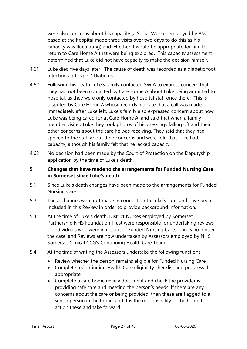were also concerns about his capacity (a Social Worker employed by ASC based at the hospital made three visits over two days to do this as his capacity was fluctuating) and whether it would be appropriate for him to return to Care Home A that were being explored. This capacity assessment determined that Luke did not have capacity to make the decision himself.

- 4.61 Luke died five days later. The cause of death was recorded as a diabetic foot infection and Type 2 Diabetes.
- 4.62 Following his death Luke's family contacted SW A to express concern that they had not been contacted by Care Home A about Luke being admitted to hospital, as they were only contacted by hospital staff once there. This is disputed by Care Home A whose records indicate that a call was made immediately after Luke left. Luke's family also expressed concern about how Luke was being cared for at Care Home A, and said that when a family member visited Luke they took photos of his dressings falling off and their other concerns about the care he was receiving. They said that they had spoken to the staff about their concerns and were told that Luke had capacity, although his family felt that he lacked capacity.
- 4.63 No decision had been made by the Court of Protection on the Deputyship application by the time of Luke's death.

#### <span id="page-26-0"></span>**5 Changes that have made to the arrangements for Funded Nursing Care in Somerset since Luke's death**

- 5.1 Since Luke's death changes have been made to the arrangements for Funded Nursing Care.
- 5.2 These changes were not made in connection to Luke's care, and have been included in this Review in order to provide background information.
- 5.3 At the time of Luke's death, District Nurses employed by Somerset Partnership NHS Foundation Trust were responsible for undertaking reviews of individuals who were in receipt of Funded Nursing Care. This is no longer the case, and Reviews are now undertaken by Assessors employed by NHS Somerset Clinical CCG's Continuing Health Care Team.
- 5.4 At the time of writing the Assessors undertake the following functions.
	- Review whether the person remains eligible for Funded Nursing Care
	- Complete a Continuing Health Care eligibility checklist and progress if appropriate
	- Complete a care home review document and check the provider is providing safe care and meeting the person's needs. If there are any concerns about the care or being provided, then these are flagged to a senior person in the home, and it is the responsibility of the home to action these and take forward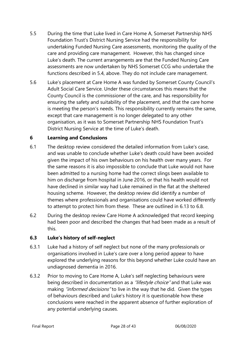- 5.5 During the time that Luke lived in Care Home A, Somerset Partnership NHS Foundation Trust's District Nursing Service had the responsibility for undertaking Funded Nursing Care assessments, monitoring the quality of the care and providing care management. However, this has changed since Luke's death. The current arrangements are that the Funded Nursing Care assessments are now undertaken by NHS Somerset CCG who undertake the functions described in 5.4, above. They do not include care management.
- 5.6 Luke's placement at Care Home A was funded by Somerset County Council's Adult Social Care Service. Under these circumstances this means that the County Council is the commissioner of the care, and has responsibility for ensuring the safety and suitability of the placement, and that the care home is meeting the person's needs. This responsibility currently remains the same, except that care management is no longer delegated to any other organisation, as it was to Somerset Partnership NHS Foundation Trust's District Nursing Service at the time of Luke's death.

#### **6 Learning and Conclusions**

- <span id="page-27-0"></span>6.1 The desktop review considered the detailed information from Luke's case, and was unable to conclude whether Luke's death could have been avoided given the impact of his own behaviours on his health over many years. For the same reasons it is also impossible to conclude that Luke would not have been admitted to a nursing home had the correct slings been available to him on discharge from hospital in June 2016, or that his health would not have declined in similar way had Luke remained in the flat at the sheltered housing scheme. However, the desktop review did identify a number of themes where professionals and organisations could have worked differently to attempt to protect him from these. These are outlined in [6.13](#page-27-0) to 6.8.
- 6.2 During the desktop review Care Home A acknowledged that record keeping had been poor and described the changes that had been made as a result of this.

#### **6.3 Luke's history of self-neglect**

- 6.3.1 Luke had a history of self neglect but none of the many professionals or organisations involved in Luke's care over a long period appear to have explored the underlying reasons for this beyond whether Luke could have an undiagnosed dementia in 2016.
- 6.3.2 Prior to moving to Care Home A, Luke's self neglecting behaviours were being described in documentation as a "lifestyle choice" and that Luke was making "*informed decisions*" to live in the way that he did. Given the types of behaviours described and Luke's history it is questionable how these conclusions were reached in the apparent absence of further exploration of any potential underlying causes.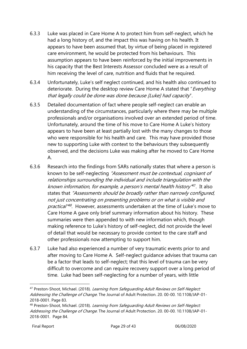- 6.3.3 Luke was placed in Care Home A to protect him from self-neglect, which he had a long history of, and the impact this was having on his health. It appears to have been assumed that, by virtue of being placed in registered care environment, he would be protected from his behaviours. This assumption appears to have been reinforced by the initial improvements in his capacity that the Best Interests Assessor concluded were as a result of him receiving the level of care, nutrition and fluids that he required.
- 6.3.4 Unfortunately, Luke's self neglect continued, and his health also continued to deteriorate. During the desktop review Care Home A stated that "Everything" that legally could be done was done because [Luke] had capacity".
- 6.3.5 Detailed documentation of fact where people self-neglect can enable an understanding of the circumstances, particularly where there may be multiple professionals and/or organisations involved over an extended period of time. Unfortunately, around the time of his move to Care Home A Luke's history appears to have been at least partially lost with the many changes to those who were responsible for his health and care. This may have provided those new to supporting Luke with context to the behaviours they subsequently observed, and the decisions Luke was making after he moved to Care Home A.
- 6.3.6 Research into the findings from SARs nationally states that where a person is known to be self-neglecting "Assessment must be contextual, cognisant of relationships surrounding the individual and include triangulation with the known information, for example, a person's mental health history<sup>47</sup>. It also states that "Assessments should be broadly rather than narrowly configured, not just concentrating on presenting problems or on what is visible and practical<sup>"48</sup>. However, assessments undertaken at the time of Luke's move to Care Home A gave only brief summary information about his history. These summaries were then appended to with new information which, though making reference to Luke's history of self-neglect, did not provide the level of detail that would be necessary to provide context to the care staff and other professionals now attempting to support him.
- 6.3.7 Luke had also experienced a number of very traumatic events prior to and after moving to Care Home A. Self-neglect guidance advises that trauma can be a factor that leads to self-neglect; that this level of trauma can be very difficult to overcome and can require recovery support over a long period of time. Luke had been self-neglecting for a number of years, with little

<sup>&</sup>lt;sup>47</sup> Preston-Shoot, Michael. (2018). Learning from Safeguarding Adult Reviews on Self-Neglect: Addressing the Challenge of Change. The Journal of Adult Protection. 20. 00-00. 10.1108/JAP-01-2018-0001. Page 83.

<sup>48</sup> Preston-Shoot, Michael. (2018). Learning from Safeguarding Adult Reviews on Self-Neglect: Addressing the Challenge of Change. The Journal of Adult Protection. 20. 00-00. 10.1108/JAP-01-2018-0001. Page 84.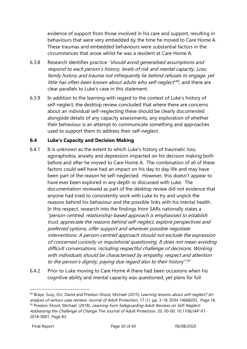evidence of support from those involved in his care and support, resulting in behaviours that were very embedded by the time he moved to Care Home A. These traumas and embedded behaviours were substantial factors in the circumstances that arose whilst he was a resident at Care Home A.

- 6.3.8 Research identifies practice "should avoid generalised assumptions and respond to each person's history, levels of risk and mental capacity. Loss, family history and trauma not infrequently lie behind refusals to engage, yet little has often been known about adults who self-neglect<sup>"49</sup>, and there are clear parallels to Luke's case in this statement.
- 6.3.9 In addition to the learning with regard to the context of Luke's history of self-neglect, the desktop review concluded that where there are concerns about an individual self-neglecting these should be clearly documented alongside details of any capacity assessments, any exploration of whether their behaviour is an attempt to communicate something and approaches used to support them to address their self-neglect.

#### **6.4 Luke's Capacity and Decision Making**

- 6.4.1 It is unknown as the extent to which Luke's history of traumatic loss, agoraphobia, anxiety and depression impacted on his decision making both before and after he moved to Care Home A. The combination of all of these factors could well have had an impact on his day to day life and may have been part of the reason he self-neglected. However, this doesn't appear to have ever been explored in any depth or discussed with Luke. The documentation reviewed as part of the desktop review did not evidence that anyone had tried to consistently work with Luke to try and unpick the reasons behind his behaviour and the possible links with his mental health. In this respect, research into the findings from SARs nationally states a "person-centred, relationship-based approach is emphasised to establish trust, appreciate the reasons behind self-neglect, explore perspectives and preferred options, offer support and wherever possible negotiate interventions. A person-centred approach should not exclude the expression of concerned curiosity or inquisitorial questioning. It does not mean avoiding difficult conversations, including respectful challenge of decisions. Working with individuals should be characterised by empathy, respect and attention to the person's dignity, paying due regard also to their history". 50
- 6.4.2 Prior to Luke moving to Care Home A there had been occasions when his cognitive ability and mental capacity was questioned, yet plans for full

<sup>&</sup>lt;sup>49</sup> Braye, Suzy, Orr, David and Preston-Shoot, Michael (2015) Learning lessons about self-neglect? An analysis of serious case reviews. Journal of Adult Protection, 17 (1). pp. 3-18. ISSN 14668203. Page 16. <sup>50</sup> Preston-Shoot, Michael. (2018). Learning from Safequarding Adult Reviews on Self-Neglect: Addressing the Challenge of Change. The Journal of Adult Protection. 20. 00-00. 10.1108/JAP-01-2018-0001. Page 83.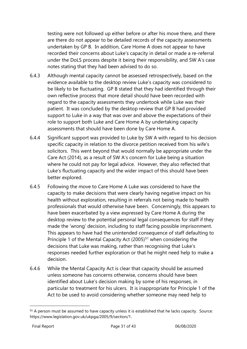testing were not followed up either before or after his move there, and there are there do not appear to be detailed records of the capacity assessments undertaken by GP B. In addition, Care Home A does not appear to have recorded their concerns about Luke's capacity in detail or made a re-referral under the DoLS process despite it being their responsibility, and SW A's case notes stating that they had been advised to do so.

- 6.4.3 Although mental capacity cannot be assessed retrospectively, based on the evidence available to the desktop review Luke's capacity was considered to be likely to be fluctuating. GP B stated that they had identified through their own reflective process that more detail should have been recorded with regard to the capacity assessments they undertook while Luke was their patient. It was concluded by the desktop review that GP B had provided support to Luke in a way that was over and above the expectations of their role to support both Luke and Care Home A by undertaking capacity assessments that should have been done by Care Home A.
- 6.4.4 Significant support was provided to Luke by SW A with regard to his decision specific capacity in relation to the divorce petition received from his wife's solicitors. This went beyond that would normally be appropriate under the Care Act (2014), as a result of SW A's concern for Luke being a situation where he could not pay for legal advice. However, they also reflected that Luke's fluctuating capacity and the wider impact of this should have been better explored.
- 6.4.5 Following the move to Care Home A Luke was considered to have the capacity to make decisions that were clearly having negative impact on his health without exploration, resulting in referrals not being made to health professionals that would otherwise have been. Concerningly, this appears to have been exacerbated by a view expressed by Care Home A during the desktop review to the potential personal legal consequences for staff if they made the 'wrong' decision, including to staff facing possible imprisonment. This appears to have had the unintended consequence of staff defaulting to Principle 1 of the Mental Capacity Act (2005)<sup>51</sup> when considering the decisions that Luke was making, rather than recognising that Luke's responses needed further exploration or that he might need help to make a decision.
- 6.4.6 While the Mental Capacity Act is clear that capacity should be assumed unless someone has concerns otherwise, concerns should have been identified about Luke's decision making by some of his responses, in particular to treatment for his ulcers. It is inappropriate for Principle 1 of the Act to be used to avoid considering whether someone may need help to

<sup>51</sup> A person must be assumed to have capacity unless it is established that he lacks capacity. Source: https://www.legislation.gov.uk/ukpga/2005/9/section/1.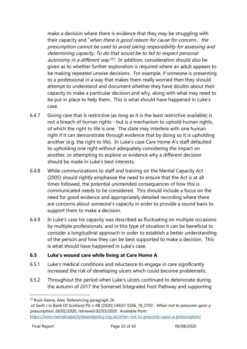make a decision where there is evidence that they may be struggling with their capacity and "when there is good reason for cause for concern… the presumption cannot be used to avoid taking responsibility for assessing and determining capacity. To do that would be to fail to respect personal autonomy in a different way<sup>"52</sup>. In addition, consideration should also be given as to whether further exploration is required where an adult appears to be making repeated unwise decisions. For example, if someone is presenting to a professional in a way that makes them really worried then they should attempt to understand and document whether they have doubts about their capacity to make a particular decision and why, along with what may need to be put in place to help them. This is what should have happened in Luke's case.

- 6.4.7 Giving care that is restrictive (as long as it is the least restrictive available) is not a breach of human rights - but is a mechanism to uphold human rights, of which the right to life is one. The state may interfere with one human right if it can demonstrate through evidence that by doing so it is upholding another (e.g. the right to life). In Luke's case Care Home A's staff defaulted to upholding one right without adequately considering the impact on another, or attempting to explore or evidence why a different decision should be made in Luke's best interests.
- 6.4.8 While communications to staff and training on the Mental Capacity Act (2005) should rightly emphasise the need to ensure that the Act is at all times followed, the potential unintended consequences of how this is communicated needs to be considered. This should include a focus on the need for good evidence and appropriately detailed recording where there are concerns about someone's capacity in order to provide a sound basis to support them to make a decision.
- 6.4.9 In Luke's case his capacity was described as fluctuating on multiple occasions by multiple professionals, and in this type of situation it can be beneficial to consider a longitudinal approach in order to establish a better understanding of the person and how they can be best supported to make a decision. This is what should have happened in Luke's case.

#### **6.5 Luke's wound care while living at Care Home A**

- 6.5.1 Luke's medical conditions and reluctance to engage in care significantly increased the risk of developing ulcers which could become problematic.
- 6.5.2 Throughout the period when Luke's ulcers continued to deteriorate during the autumn of 2017 the Somerset Integrated Foot Pathway and supporting

of Swift J in Bank Of Scotland Plc v AB [2020] UKEAT 0266\_18\_2702. When not to presume upon a presumption, 28/02/2020, retrieved 02/03/2020. Available from:

<sup>52</sup> Ruck Keene, Alex. Referencing paragraph 26

<https://www.mentalcapacitylawandpolicy.org.uk/when-not-to-presume-upon-a-presumption/>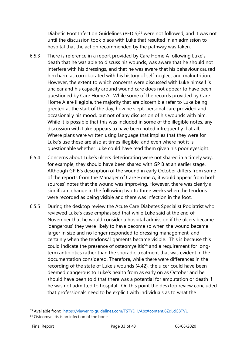Diabetic Foot Infection Guidelines (PEDIS)<sup>53</sup> were not followed, and it was not until the discussion took place with Luke that resulted in an admission to hospital that the action recommended by the pathway was taken.

- 6.5.3 There is reference in a report provided by Care Home A following Luke's death that he was able to discuss his wounds, was aware that he should not interfere with his dressings, and that he was aware that his behaviour caused him harm as corroborated with his history of self-neglect and malnutrition. However, the extent to which concerns were discussed with Luke himself is unclear and his capacity around wound care does not appear to have been questioned by Care Home A. While some of the records provided by Care Home A are illegible, the majority that are discernible refer to Luke being greeted at the start of the day, how he slept, personal care provided and occasionally his mood, but not of any discussion of his wounds with him. While it is possible that this was included in some of the illegible notes, any discussion with Luke appears to have been noted infrequently if at all. Where plans were written using language that implies that they were for Luke's use these are also at times illegible, and even where not it is questionable whether Luke could have read them given his poor eyesight.
- 6.5.4 Concerns about Luke's ulcers deteriorating were not shared in a timely way, for example, they should have been shared with GP B at an earlier stage. Although GP B's description of the wound in early October differs from some of the reports from the Manager of Care Home A, it would appear from both sources' notes that the wound was improving. However, there was clearly a significant change in the following two to three weeks when the tendons were recorded as being visible and there was infection in the foot.
- 6.5.5 During the desktop review the Acute Care Diabetes Specialist Podiatrist who reviewed Luke's case emphasised that while Luke said at the end of November that he would consider a hospital admission if the ulcers became 'dangerous' they were likely to have become so when the wound became larger in size and no longer responded to dressing management, and certainly when the tendons/ ligaments became visible. This is because this could indicate the presence of osteomyelitis<sup>54</sup> and a requirement for longterm antibiotics rather than the sporadic treatment that was evident in the documentation considered. Therefore, while there were differences in the recording of the state of Luke's wounds [\(4.42\)](#page-20-0), the ulcer could have been deemed dangerous to Luke's health from as early on as October and he should have been told that there was a potential for amputation or death if he was not admitted to hospital. On this point the desktop review concluded that professionals need to be explicit with individuals as to what the

<sup>53</sup> Available from: <https://viewer.rx-guidelines.com/TSTYDH/Abx#content,6ZdLdG8TVU>

<sup>&</sup>lt;sup>54</sup> Osteomyelitis is an infection of the bone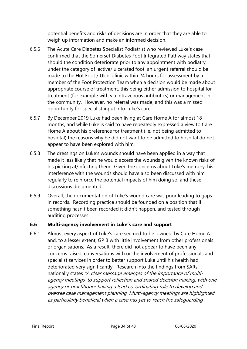potential benefits and risks of decisions are in order that they are able to weigh up information and make an informed decision.

- 6.5.6 The Acute Care Diabetes Specialist Podiatrist who reviewed Luke's case confirmed that the Somerset Diabetes Foot Integrated Pathway states that should the condition deteriorate prior to any appointment with podiatry, under the category of 'active/ ulcerated foot' an urgent referral should be made to the Hot Foot / Ulcer clinic within 24 hours for assessment by a member of the Foot Protection Team when a decision would be made about appropriate course of treatment, this being either admission to hospital for treatment (for example with via intravenous antibiotics) or management in the community. However, no referral was made, and this was a missed opportunity for specialist input into Luke's care.
- 6.5.7 By December 2019 Luke had been living at Care Home A for almost 18 months, and while Luke is said to have repeatedly expressed a view to Care Home A about his preference for treatment (i.e. not being admitted to hospital) the reasons why he did not want to be admitted to hospital do not appear to have been explored with him.
- 6.5.8 The dressings on Luke's wounds should have been applied in a way that made it less likely that he would access the wounds given the known risks of his picking at/infecting them. Given the concerns about Luke's memory, his interference with the wounds should have also been discussed with him regularly to reinforce the potential impacts of him doing so, and these discussions documented.
- 6.5.9 Overall, the documentation of Luke's wound care was poor leading to gaps in records. Recording practice should be founded on a position that if something hasn't been recorded it didn't happen, and tested through auditing processes.

#### **6.6 Multi-agency involvement in Luke's care and support**

6.6.1 Almost every aspect of Luke's care seemed to be 'owned' by Care Home A and, to a lesser extent, GP B with little involvement from other professionals or organisations. As a result, there did not appear to have been any concerns raised, conversations with or the involvement of professionals and specialist services in order to better support Luke until his health had deteriorated very significantly. Research into the findings from SARs nationally states "A clear message emerges of the importance of multiagency meetings, to support reflection and shared decision making, with one agency or practitioner having a lead co-ordinating role to develop and oversee case management planning. Multi-agency meetings are highlighted as particularly beneficial when a case has yet to reach the safeguarding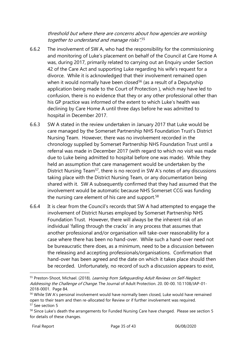threshold but where there are concerns about how agencies are working together to understand and manage risks".<sup>55</sup>

- 6.6.2 The involvement of SW A, who had the responsibility for the commissioning and monitoring of Luke's placement on behalf of the Council at Care Home A was, during 2017, primarily related to carrying out an Enquiry under Section 42 of the Care Act and supporting Luke regarding his wife's request for a divorce. While it is acknowledged that their involvement remained open when it would normally have been closed<sup>56</sup> (as a result of a Deputyship application being made to the Court of Protection ), which may have led to confusion, there is no evidence that they or any other professional other than his GP practice was informed of the extent to which Luke's health was declining by Care Home A until three days before he was admitted to hospital in December 2017.
- 6.6.3 SW A stated in the review undertaken in January 2017 that Luke would be care managed by the Somerset Partnership NHS Foundation Trust's District Nursing Team. However, there was no involvement recorded in the chronology supplied by Somerset Partnership NHS Foundation Trust until a referral was made in December 2017 (with regard to which no visit was made due to Luke being admitted to hospital before one was made). While they held an assumption that care management would be undertaken by the District Nursing Team<sup>57</sup>, there is no record in SW A's notes of any discussions taking place with the District Nursing Team, or any documentation being shared with it. SW A subsequently confirmed that they had assumed that the involvement would be automatic because NHS Somerset CCG was funding the nursing care element of his care and support.<sup>58</sup>
- 6.6.4 It is clear from the Council's records that SW A had attempted to engage the involvement of District Nurses employed by Somerset Partnership NHS Foundation Trust. However, there will always be the inherent risk of an individual 'falling through the cracks' in any process that assumes that another professional and/or organisation will take-over reasonability for a case where there has been no hand-over. While such a hand-over need not be bureaucratic there does, as a minimum, need to be a discussion between the releasing and accepting professionals/organisations. Confirmation that hand-over has been agreed and the date on which it takes place should then be recorded. Unfortunately, no record of such a discussion appears to exist,

<sup>55</sup> Preston-Shoot, Michael. (2018). Learning from Safequarding Adult Reviews on Self-Neglect: Addressing the Challenge of Change. The Journal of Adult Protection. 20, 00-00. 10.1108/JAP-01-2018-0001. Page 84.

<sup>&</sup>lt;sup>56</sup> While SW A's personal involvement would have normally been closed, Luke would have remained open to their team and then re-allocated for Review or if further involvement was required. <sup>57</sup> See section [5](#page-26-0)

[<sup>5</sup>](#page-26-0)8 Since Luke's death the arrangements for Funded Nursing Care have changed. Please see section 5 for details of these changes.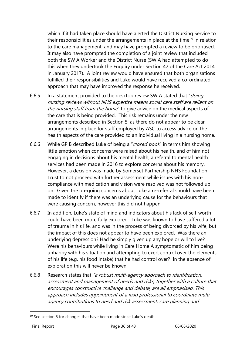which if it had taken place should have alerted the District Nursing Service to their responsibilities under the arrangements in place at the time<sup>59</sup> in relation to the care management; and may have prompted a review to be prioritised. It may also have prompted the completion of a joint review that included both the SW A Worker and the District Nurse (SW A had attempted to do this when they undertook the Enquiry under Section 42 of the Care Act 2014 in January 2017). A joint review would have ensured that both organisations fulfilled their responsibilities and Luke would have received a co-ordinated approach that may have improved the response he received.

- 6.6.5 In a statement provided to the desktop review SW A stated that "doing" nursing reviews without NHS expertise means social care staff are reliant on the nursing staff from the home" to give advice on the medical aspects of the care that is being provided. This risk remains under the new arrangements described in Section [5,](#page-26-0) as there do not appear to be clear arrangements in place for staff employed by ASC to access advice on the health aspects of the care provided to an individual living in a nursing home.
- 6.6.6 While GP B described Luke of being a "closed book" in terms him showing little emotion when concerns were raised about his health, and of him not engaging in decisions about his mental health, a referral to mental health services had been made in 2016 to explore concerns about his memory. However, a decision was made by Somerset Partnership NHS Foundation Trust to not proceed with further assessment while issues with his noncompliance with medication and vision were resolved was not followed up on. Given the on-going concerns about Luke a re-referral should have been made to identify if there was an underlying cause for the behaviours that were causing concern, however this did not happen.
- 6.6.7 In addition, Luke's state of mind and indicators about his lack of self-worth could have been more fully explored. Luke was known to have suffered a lot of trauma in his life, and was in the process of being divorced by his wife, but the impact of this does not appear to have been explored. Was there an underlying depression? Had he simply given up any hope or will to live? Were his behaviours while living in Care Home A symptomatic of him being unhappy with his situation and attempting to exert control over the elements of his life (e.g. his food intake) that he had control over? In the absence of exploration this will never be known.
- 6.6.8 Research states that "a robust multi-agency approach to identification, assessment and management of needs and risks, together with a culture that encourages constructive challenge and debate, are all emphasised. This approach includes appointment of a lead professional to coordinate multiagency contributions to need and risk assessment, care planning and

<sup>&</sup>lt;sup>59</sup> See section 5 for changes that have been made since Luke's death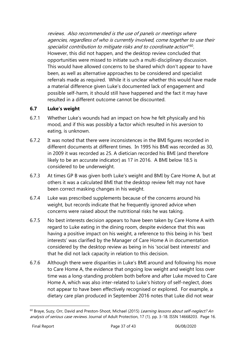reviews. Also recommended is the use of panels or meetings where agencies, regardless of who is currently involved, come together to use their specialist contribution to mitigate risks and to coordinate action"<sup>60</sup>. However, this did not happen, and the desktop review concluded that opportunities were missed to initiate such a multi-disciplinary discussion. This would have allowed concerns to be shared which don't appear to have been, as well as alternative approaches to be considered and specialist referrals made as required. While it is unclear whether this would have made a material difference given Luke's documented lack of engagement and possible self-harm, it should still have happened and the fact it may have resulted in a different outcome cannot be discounted.

#### **6.7 Luke's weight**

- 6.7.1 Whether Luke's wounds had an impact on how he felt physically and his mood, and if this was possibly a factor which resulted in his aversion to eating, is unknown.
- 6.7.2 It was noted that there were inconsistences in the BMI figures recorded in different documents at different times. In 1995 his BMI was recorded as 30, in 2009 it was recorded as 25. A dietician recorded his BMI (and therefore likely to be an accurate indicator) as 17 in 2016. A BMI below 18.5 is considered to be underweight.
- 6.7.3 At times GP B was given both Luke's weight and BMI by Care Home A, but at others it was a calculated BMI that the desktop review felt may not have been correct masking changes in his weight.
- 6.7.4 Luke was prescribed supplements because of the concerns around his weight, but records indicate that he frequently ignored advice when concerns were raised about the nutritional risks he was taking.
- 6.7.5 No best interests decision appears to have been taken by Care Home A with regard to Luke eating in the dining room, despite evidence that this was having a positive impact on his weight, a reference to this being in his 'best interests' was clarified by the Manager of Care Home A in documentation considered by the desktop review as being in his 'social best interests' and that he did not lack capacity in relation to this decision.
- 6.7.6 Although there were disparities in Luke's BMI around and following his move to Care Home A, the evidence that ongoing low weight and weight loss over time was a long-standing problem both before and after Luke moved to Care Home A, which was also inter-related to Luke's history of self-neglect, does not appear to have been effectively recognised or explored. For example, a dietary care plan produced in September 2016 notes that Luke did not wear

<sup>&</sup>lt;sup>60</sup> Braye, Suzy, Orr, David and Preston-Shoot, Michael (2015) Learning lessons about self-neglect? An analysis of serious case reviews. Journal of Adult Protection, 17 (1). pp. 3-18. ISSN 14668203. Page 16.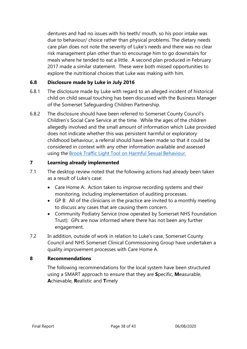dentures and had no issues with his teeth/ mouth, so his poor intake was due to behaviour/ choice rather than physical problems. The dietary needs care plan does not note the severity of Luke's needs and there was no clear risk management plan other than to encourage him to go downstairs for meals where he tended to eat a little. A second plan produced in February 2017 made a similar statement. These were both missed opportunities to explore the nutritional choices that Luke was making with him.

#### **6.8 Disclosure made by Luke in July 2016**

- 6.8.1 The disclosure made by Luke with regard to an alleged incident of historical child on child sexual touching has been discussed with the Business Manager of the Somerset Safeguarding Children Partnership.
- 6.8.2 The disclosure should have been referred to Somerset County Council's Children's Social Care Service at the time. While the ages of the children allegedly involved and the small amount of information which Luke provided does not indicate whether this was persistent harmful or exploratory childhood behaviour, a referral should have been made so that it could be considered in context with any other information available and assessed using the [Brook Traffic Light Tool on Harmful Sexual Behaviour.](https://legacy.brook.org.uk/brook_tools/traffic/index.html?syn_partner=)

#### <span id="page-37-0"></span>**7 Learning already implemented**

- 7.1 The desktop review noted that the following actions had already been taken as a result of Luke's case:
	- Care Home A: Action taken to improve recording systems and their monitoring, including implementation of auditing processes.
	- GP B: All of the clinicians in the practice are invited to a monthly meeting to discuss any cases that are causing them concern.
	- Community Podiatry Service (now operated by Somerset NHS Foundation Trust): GPs are now informed where there has not been any further engagement.
- <span id="page-37-1"></span>7.2 In addition, outside of work in relation to Luke's case, Somerset County Council and NHS Somerset Clinical Commissioning Group have undertaken a quality improvement processes with Care Home A.

#### **8 Recommendations**

The following recommendations for the local system have been structured using a SMART approach to ensure that they are **S**pecific, **M**easurable, **A**chievable, **R**ealistic and **T**imely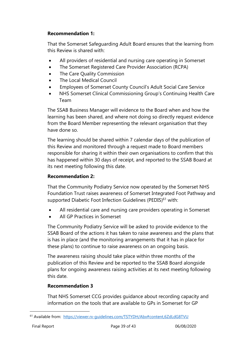#### **Recommendation 1:**

That the Somerset Safeguarding Adult Board ensures that the learning from this Review is shared with:

- All providers of residential and nursing care operating in Somerset
- The Somerset Registered Care Provider Association (RCPA)
- The Care Quality Commission
- The Local Medical Council
- Employees of Somerset County Council's Adult Social Care Service
- NHS Somerset Clinical Commissioning Group's Continuing Health Care Team

The SSAB Business Manager will evidence to the Board when and how the learning has been shared, and where not doing so directly request evidence from the Board Member representing the relevant organisation that they have done so.

The learning should be shared within 7 calendar days of the publication of this Review and monitored through a request made to Board members responsible for sharing it within their own organisations to confirm that this has happened within 30 days of receipt, and reported to the SSAB Board at its next meeting following this date.

#### **Recommendation 2:**

That the Community Podiatry Service now operated by the Somerset NHS Foundation Trust raises awareness of Somerset Integrated Foot Pathway and supported Diabetic Foot Infection Guidelines (PEDIS)<sup>61</sup> with:

- All residential care and nursing care providers operating in Somerset
- All GP Practices in Somerset

The Community Podiatry Service will be asked to provide evidence to the SSAB Board of the actions it has taken to raise awareness and the plans that is has in place (and the monitoring arrangements that it has in place for these plans) to continue to raise awareness on an ongoing basis.

The awareness raising should take place within three months of the publication of this Review and be reported to the SSAB Board alongside plans for ongoing awareness raising activities at its next meeting following this date.

#### **Recommendation 3**

That NHS Somerset CCG provides guidance about recording capacity and information on the tools that are available to GPs in Somerset for GP

<sup>61</sup> Available from: <https://viewer.rx-guidelines.com/TSTYDH/Abx#content,6ZdLdG8TVU>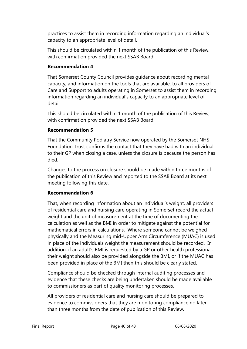practices to assist them in recording information regarding an individual's capacity to an appropriate level of detail.

This should be circulated within 1 month of the publication of this Review, with confirmation provided the next SSAB Board.

#### **Recommendation 4**

That Somerset County Council provides guidance about recording mental capacity, and information on the tools that are available, to all providers of Care and Support to adults operating in Somerset to assist them in recording information regarding an individual's capacity to an appropriate level of detail.

This should be circulated within 1 month of the publication of this Review, with confirmation provided the next SSAB Board.

#### **Recommendation 5**

That the Community Podiatry Service now operated by the Somerset NHS Foundation Trust confirms the contact that they have had with an individual to their GP when closing a case, unless the closure is because the person has died.

Changes to the process on closure should be made within three months of the publication of this Review and reported to the SSAB Board at its next meeting following this date.

#### **Recommendation 6**

That, when recording information about an individual's weight, all providers of residential care and nursing care operating in Somerset record the actual weight and the unit of measurement at the time of documenting the calculation as well as the BMI in order to mitigate against the potential for mathematical errors in calculations. Where someone cannot be weighed physically and the Measuring mid-Upper Arm Circumference (MUAC) is used in place of the individuals weight the measurement should be recorded. In addition, if an adult's BMI is requested by a GP or other health professional, their weight should also be provided alongside the BMI, or if the MUAC has been provided in place of the BMI then this should be clearly stated.

Compliance should be checked through internal auditing processes and evidence that these checks are being undertaken should be made available to commissioners as part of quality monitoring processes.

All providers of residential care and nursing care should be prepared to evidence to commissioners that they are monitoring compliance no later than three months from the date of publication of this Review.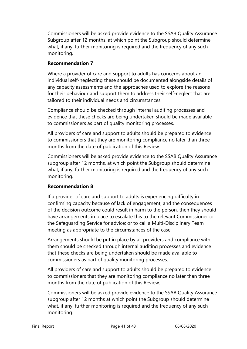Commissioners will be asked provide evidence to the SSAB Quality Assurance Subgroup after 12 months, at which point the Subgroup should determine what, if any, further monitoring is required and the frequency of any such monitoring.

#### **Recommendation 7**

Where a provider of care and support to adults has concerns about an individual self-neglecting these should be documented alongside details of any capacity assessments and the approaches used to explore the reasons for their behaviour and support them to address their self-neglect that are tailored to their individual needs and circumstances.

Compliance should be checked through internal auditing processes and evidence that these checks are being undertaken should be made available to commissioners as part of quality monitoring processes.

All providers of care and support to adults should be prepared to evidence to commissioners that they are monitoring compliance no later than three months from the date of publication of this Review.

Commissioners will be asked provide evidence to the SSAB Quality Assurance subgroup after 12 months, at which point the Subgroup should determine what, if any, further monitoring is required and the frequency of any such monitoring.

#### **Recommendation 8**

If a provider of care and support to adults is experiencing difficulty in confirming capacity because of lack of engagement, and the consequences of the decision outcome could result in harm to the person, then they should have arrangements in place to escalate this to the relevant Commissioner or the Safeguarding Service for advice; or to call a Multi-Disciplinary Team meeting as appropriate to the circumstances of the case

Arrangements should be put in place by all providers and compliance with them should be checked through internal auditing processes and evidence that these checks are being undertaken should be made available to commissioners as part of quality monitoring processes.

All providers of care and support to adults should be prepared to evidence to commissioners that they are monitoring compliance no later than three months from the date of publication of this Review.

Commissioners will be asked provide evidence to the SSAB Quality Assurance subgroup after 12 months at which point the Subgroup should determine what, if any, further monitoring is required and the frequency of any such monitoring.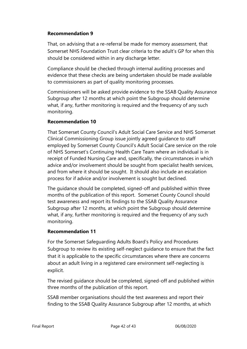#### **Recommendation 9**

That, on advising that a re-referral be made for memory assessment, that Somerset NHS Foundation Trust clear criteria to the adult's GP for when this should be considered within in any discharge letter.

Compliance should be checked through internal auditing processes and evidence that these checks are being undertaken should be made available to commissioners as part of quality monitoring processes.

Commissioners will be asked provide evidence to the SSAB Quality Assurance Subgroup after 12 months at which point the Subgroup should determine what, if any, further monitoring is required and the frequency of any such monitoring.

#### **Recommendation 10**

That Somerset County Council's Adult Social Care Service and NHS Somerset Clinical Commissioning Group issue jointly agreed guidance to staff employed by Somerset County Council's Adult Social Care service on the role of NHS Somerset's Continuing Health Care Team where an individual is in receipt of Funded Nursing Care and, specifically, the circumstances in which advice and/or involvement should be sought from specialist health services, and from where it should be sought. It should also include an escalation process for if advice and/or involvement is sought but declined.

The guidance should be completed, signed-off and published within three months of the publication of this report. Somerset County Council should test awareness and report its findings to the SSAB Quality Assurance Subgroup after 12 months, at which point the Subgroup should determine what, if any, further monitoring is required and the frequency of any such monitoring.

#### **Recommendation 11**

For the Somerset Safeguarding Adults Board's Policy and Procedures Subgroup to review its existing self-neglect guidance to ensure that the fact that it is applicable to the specific circumstances where there are concerns about an adult living in a registered care environment self-neglecting is explicit.

The revised guidance should be completed, signed-off and published within three months of the publication of this report.

SSAB member organisations should the test awareness and report their finding to the SSAB Quality Assurance Subgroup after 12 months, at which